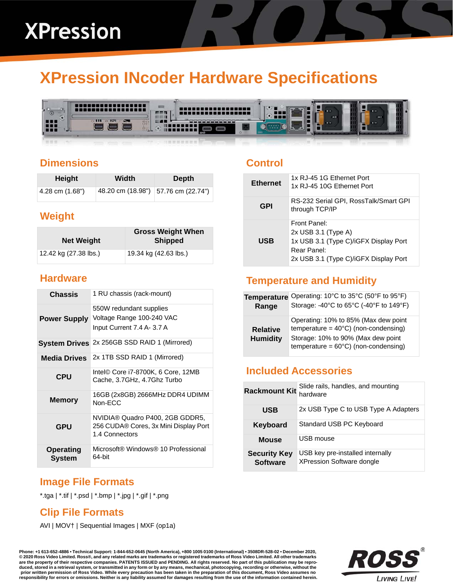# **XPression INcoder Hardware Specifications**



#### **Dimensions**

| Height          | Width | <b>Depth</b>                        |
|-----------------|-------|-------------------------------------|
| 4.28 cm (1.68") |       | 48.20 cm (18.98") 57.76 cm (22.74") |

#### **Weight**

| <b>Net Weight</b>     | <b>Gross Weight When</b><br><b>Shipped</b> |
|-----------------------|--------------------------------------------|
| 12.42 kg (27.38 lbs.) | 19.34 kg (42.63 lbs.)                      |

#### **Hardware**

| <b>Chassis</b>             | 1 RU chassis (rack-mount)                                                                  |
|----------------------------|--------------------------------------------------------------------------------------------|
| <b>Power Supply</b>        | 550W redundant supplies<br>Voltage Range 100-240 VAC<br>Input Current 7.4 A- 3.7 A         |
|                            | System Drives 2x 256GB SSD RAID 1 (Mirrored)                                               |
| <b>Media Drives</b>        | 2x 1TB SSD RAID 1 (Mirrored)                                                               |
| <b>CPU</b>                 | Intel© Core i7-8700K, 6 Core, 12MB<br>Cache, 3.7GHz, 4.7Ghz Turbo                          |
| <b>Memory</b>              | 16GB (2x8GB) 2666MHz DDR4 UDIMM<br>Non-FCC                                                 |
| <b>GPU</b>                 | NVIDIA® Quadro P400, 2GB GDDR5,<br>256 CUDA® Cores, 3x Mini Display Port<br>1.4 Connectors |
| <b>Operating</b><br>System | Microsoft® Windows® 10 Professional<br>64-bit                                              |

# **Image File Formats**

\*.tga | \*.tif | \*.psd | \*.bmp | \*.jpg | \*.gif | \*.png

### **Clip File Formats**

AVI | MOV† | Sequential Images | MXF (op1a)

**Phone: +1 613-652-4886 • Technical Support: 1-844-652-0645 (North America), +800 1005 0100 (International) • 3508DR-528-02 • December 2020, © 2020 Ross Video Limited. Ross®, and any related marks are trademarks or registered trademarks of Ross Video Limited. All other trademarks are the property of their respective companies. PATENTS ISSUED and PENDING. All rights reserved. No part of this publication may be repro-**

duced, stored in a retrieval system, or transmitted in any form or by any means, mechanical, photocopying, recording or otherwise, without the<br>prior written permission of Ross Video. While every precaution has been taken i



#### **Control**

| <b>Ethernet</b> | 1x RJ-45 1G Ethernet Port<br>1x RJ-45 10G Ethernet Port                                                                                |
|-----------------|----------------------------------------------------------------------------------------------------------------------------------------|
| GPI             | RS-232 Serial GPI, RossTalk/Smart GPI<br>through TCP/IP                                                                                |
| <b>USB</b>      | Front Panel:<br>$2x$ USB 3.1 (Type A)<br>1x USB 3.1 (Type C)/iGFX Display Port<br>Rear Panel:<br>2x USB 3.1 (Type C)/iGFX Display Port |

## **Temperature and Humidity**

| <b>Temperature</b>                 | Operating: 10°C to 35°C (50°F to 95°F)                                                                                                                                         |
|------------------------------------|--------------------------------------------------------------------------------------------------------------------------------------------------------------------------------|
| Range                              | Storage: -40°C to 65°C (-40°F to 149°F)                                                                                                                                        |
| <b>Relative</b><br><b>Humidity</b> | Operating: 10% to 85% (Max dew point<br>temperature = $40^{\circ}$ C) (non-condensing)<br>Storage: 10% to 90% (Max dew point<br>temperature = $60^{\circ}$ C) (non-condensing) |

#### **Included Accessories**

| <b>Rackmount Kit</b>                   | Slide rails, handles, and mounting<br>hardware                       |
|----------------------------------------|----------------------------------------------------------------------|
| <b>USB</b>                             | 2x USB Type C to USB Type A Adapters                                 |
| <b>Keyboard</b>                        | Standard USB PC Keyboard                                             |
| <b>Mouse</b>                           | USB mouse                                                            |
| <b>Security Key</b><br><b>Software</b> | USB key pre-installed internally<br><b>XPression Software dongle</b> |